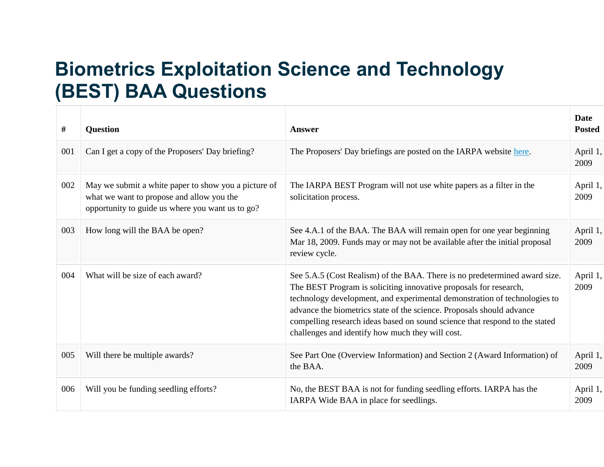## **Biometrics Exploitation Science and Technology (BEST) BAA Questions**

| #   | <b>Question</b>                                                                                                                                       | <b>Answer</b>                                                                                                                                                                                                                                                                                                                                                                                                                            | <b>Date</b><br><b>Posted</b> |
|-----|-------------------------------------------------------------------------------------------------------------------------------------------------------|------------------------------------------------------------------------------------------------------------------------------------------------------------------------------------------------------------------------------------------------------------------------------------------------------------------------------------------------------------------------------------------------------------------------------------------|------------------------------|
| 001 | Can I get a copy of the Proposers' Day briefing?                                                                                                      | The Proposers' Day briefings are posted on the IARPA website here.                                                                                                                                                                                                                                                                                                                                                                       | April 1,<br>2009             |
| 002 | May we submit a white paper to show you a picture of<br>what we want to propose and allow you the<br>opportunity to guide us where you want us to go? | The IARPA BEST Program will not use white papers as a filter in the<br>solicitation process.                                                                                                                                                                                                                                                                                                                                             | April 1,<br>2009             |
| 003 | How long will the BAA be open?                                                                                                                        | See 4.A.1 of the BAA. The BAA will remain open for one year beginning<br>Mar 18, 2009. Funds may or may not be available after the initial proposal<br>review cycle.                                                                                                                                                                                                                                                                     | April 1,<br>2009             |
| 004 | What will be size of each award?                                                                                                                      | See 5.A.5 (Cost Realism) of the BAA. There is no predetermined award size.<br>The BEST Program is soliciting innovative proposals for research,<br>technology development, and experimental demonstration of technologies to<br>advance the biometrics state of the science. Proposals should advance<br>compelling research ideas based on sound science that respond to the stated<br>challenges and identify how much they will cost. | April 1,<br>2009             |
| 005 | Will there be multiple awards?                                                                                                                        | See Part One (Overview Information) and Section 2 (Award Information) of<br>the BAA.                                                                                                                                                                                                                                                                                                                                                     | April 1,<br>2009             |
| 006 | Will you be funding seedling efforts?                                                                                                                 | No, the BEST BAA is not for funding seedling efforts. IARPA has the<br>IARPA Wide BAA in place for seedlings.                                                                                                                                                                                                                                                                                                                            | April 1,<br>2009             |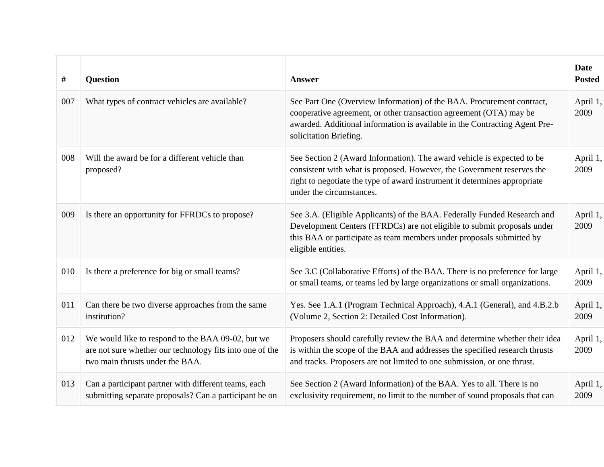| #   | <b>Question</b>                                                                                                                                  | <b>Answer</b>                                                                                                                                                                                                                                             | <b>Date</b><br><b>Posted</b> |
|-----|--------------------------------------------------------------------------------------------------------------------------------------------------|-----------------------------------------------------------------------------------------------------------------------------------------------------------------------------------------------------------------------------------------------------------|------------------------------|
| 007 | What types of contract vehicles are available?                                                                                                   | See Part One (Overview Information) of the BAA. Procurement contract,<br>cooperative agreement, or other transaction agreement (OTA) may be<br>awarded. Additional information is available in the Contracting Agent Pre-<br>solicitation Briefing.       | April 1,<br>2009             |
| 008 | Will the award be for a different vehicle than<br>proposed?                                                                                      | See Section 2 (Award Information). The award vehicle is expected to be<br>consistent with what is proposed. However, the Government reserves the<br>right to negotiate the type of award instrument it determines appropriate<br>under the circumstances. | April 1,<br>2009             |
| 009 | Is there an opportunity for FFRDCs to propose?                                                                                                   | See 3.A. (Eligible Applicants) of the BAA. Federally Funded Research and<br>Development Centers (FFRDCs) are not eligible to submit proposals under<br>this BAA or participate as team members under proposals submitted by<br>eligible entities.         | April 1,<br>2009             |
| 010 | Is there a preference for big or small teams?                                                                                                    | See 3.C (Collaborative Efforts) of the BAA. There is no preference for large<br>or small teams, or teams led by large organizations or small organizations.                                                                                               | April 1,<br>2009             |
| 011 | Can there be two diverse approaches from the same<br>institution?                                                                                | Yes. See 1.A.1 (Program Technical Approach), 4.A.1 (General), and 4.B.2.b<br>(Volume 2, Section 2: Detailed Cost Information).                                                                                                                            | April 1,<br>2009             |
| 012 | We would like to respond to the BAA 09-02, but we<br>are not sure whether our technology fits into one of the<br>two main thrusts under the BAA. | Proposers should carefully review the BAA and determine whether their idea<br>is within the scope of the BAA and addresses the specified research thrusts<br>and tracks. Proposers are not limited to one submission, or one thrust.                      | April 1,<br>2009             |
| 013 | Can a participant partner with different teams, each<br>submitting separate proposals? Can a participant be on                                   | See Section 2 (Award Information) of the BAA. Yes to all. There is no<br>exclusivity requirement, no limit to the number of sound proposals that can                                                                                                      | April 1,<br>2009             |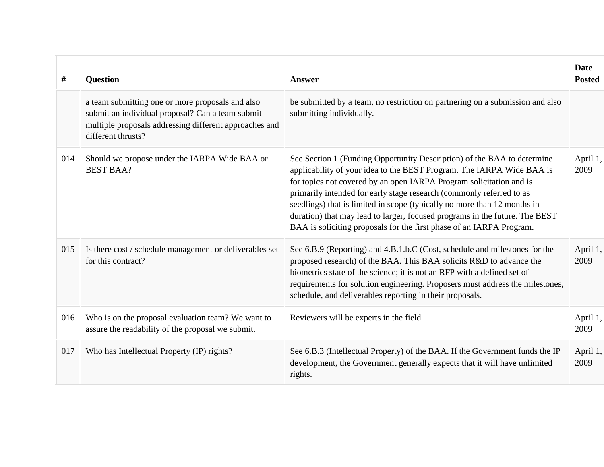| #   | <b>Question</b>                                                                                                                                                                      | <b>Answer</b>                                                                                                                                                                                                                                                                                                                                                                                                                                                                                                                      | <b>Date</b><br><b>Posted</b> |
|-----|--------------------------------------------------------------------------------------------------------------------------------------------------------------------------------------|------------------------------------------------------------------------------------------------------------------------------------------------------------------------------------------------------------------------------------------------------------------------------------------------------------------------------------------------------------------------------------------------------------------------------------------------------------------------------------------------------------------------------------|------------------------------|
|     | a team submitting one or more proposals and also<br>submit an individual proposal? Can a team submit<br>multiple proposals addressing different approaches and<br>different thrusts? | be submitted by a team, no restriction on partnering on a submission and also<br>submitting individually.                                                                                                                                                                                                                                                                                                                                                                                                                          |                              |
| 014 | Should we propose under the IARPA Wide BAA or<br><b>BEST BAA?</b>                                                                                                                    | See Section 1 (Funding Opportunity Description) of the BAA to determine<br>applicability of your idea to the BEST Program. The IARPA Wide BAA is<br>for topics not covered by an open IARPA Program solicitation and is<br>primarily intended for early stage research (commonly referred to as<br>seedlings) that is limited in scope (typically no more than 12 months in<br>duration) that may lead to larger, focused programs in the future. The BEST<br>BAA is soliciting proposals for the first phase of an IARPA Program. | April 1,<br>2009             |
| 015 | Is there cost / schedule management or deliverables set<br>for this contract?                                                                                                        | See 6.B.9 (Reporting) and 4.B.1.b.C (Cost, schedule and milestones for the<br>proposed research) of the BAA. This BAA solicits R&D to advance the<br>biometrics state of the science; it is not an RFP with a defined set of<br>requirements for solution engineering. Proposers must address the milestones,<br>schedule, and deliverables reporting in their proposals.                                                                                                                                                          | April 1,<br>2009             |
| 016 | Who is on the proposal evaluation team? We want to<br>assure the readability of the proposal we submit.                                                                              | Reviewers will be experts in the field.                                                                                                                                                                                                                                                                                                                                                                                                                                                                                            | April 1,<br>2009             |
| 017 | Who has Intellectual Property (IP) rights?                                                                                                                                           | See 6.B.3 (Intellectual Property) of the BAA. If the Government funds the IP<br>development, the Government generally expects that it will have unlimited<br>rights.                                                                                                                                                                                                                                                                                                                                                               | April 1,<br>2009             |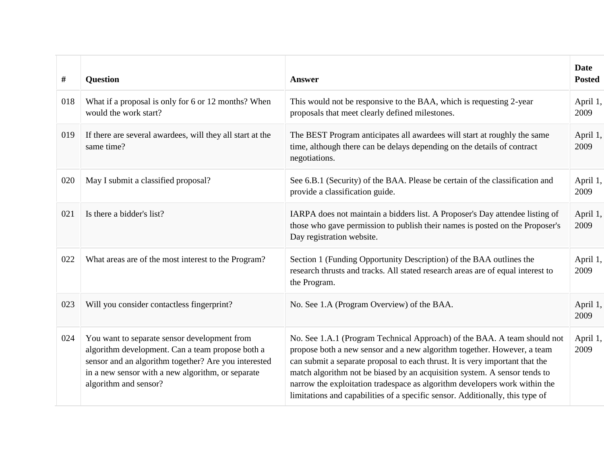| #   | <b>Question</b>                                                                                                                                                                                                                        | <b>Answer</b>                                                                                                                                                                                                                                                                                                                                                                                                                                                                   | <b>Date</b><br><b>Posted</b> |
|-----|----------------------------------------------------------------------------------------------------------------------------------------------------------------------------------------------------------------------------------------|---------------------------------------------------------------------------------------------------------------------------------------------------------------------------------------------------------------------------------------------------------------------------------------------------------------------------------------------------------------------------------------------------------------------------------------------------------------------------------|------------------------------|
| 018 | What if a proposal is only for 6 or 12 months? When<br>would the work start?                                                                                                                                                           | This would not be responsive to the BAA, which is requesting 2-year<br>proposals that meet clearly defined milestones.                                                                                                                                                                                                                                                                                                                                                          | April 1,<br>2009             |
| 019 | If there are several awardees, will they all start at the<br>same time?                                                                                                                                                                | The BEST Program anticipates all awardees will start at roughly the same<br>time, although there can be delays depending on the details of contract<br>negotiations.                                                                                                                                                                                                                                                                                                            | April 1,<br>2009             |
| 020 | May I submit a classified proposal?                                                                                                                                                                                                    | See 6.B.1 (Security) of the BAA. Please be certain of the classification and<br>provide a classification guide.                                                                                                                                                                                                                                                                                                                                                                 | April 1,<br>2009             |
| 021 | Is there a bidder's list?                                                                                                                                                                                                              | IARPA does not maintain a bidders list. A Proposer's Day attendee listing of<br>those who gave permission to publish their names is posted on the Proposer's<br>Day registration website.                                                                                                                                                                                                                                                                                       | April 1,<br>2009             |
| 022 | What areas are of the most interest to the Program?                                                                                                                                                                                    | Section 1 (Funding Opportunity Description) of the BAA outlines the<br>research thrusts and tracks. All stated research areas are of equal interest to<br>the Program.                                                                                                                                                                                                                                                                                                          | April 1,<br>2009             |
| 023 | Will you consider contactless fingerprint?                                                                                                                                                                                             | No. See 1.A (Program Overview) of the BAA.                                                                                                                                                                                                                                                                                                                                                                                                                                      | April 1,<br>2009             |
| 024 | You want to separate sensor development from<br>algorithm development. Can a team propose both a<br>sensor and an algorithm together? Are you interested<br>in a new sensor with a new algorithm, or separate<br>algorithm and sensor? | No. See 1.A.1 (Program Technical Approach) of the BAA. A team should not<br>propose both a new sensor and a new algorithm together. However, a team<br>can submit a separate proposal to each thrust. It is very important that the<br>match algorithm not be biased by an acquisition system. A sensor tends to<br>narrow the exploitation tradespace as algorithm developers work within the<br>limitations and capabilities of a specific sensor. Additionally, this type of | April 1,<br>2009             |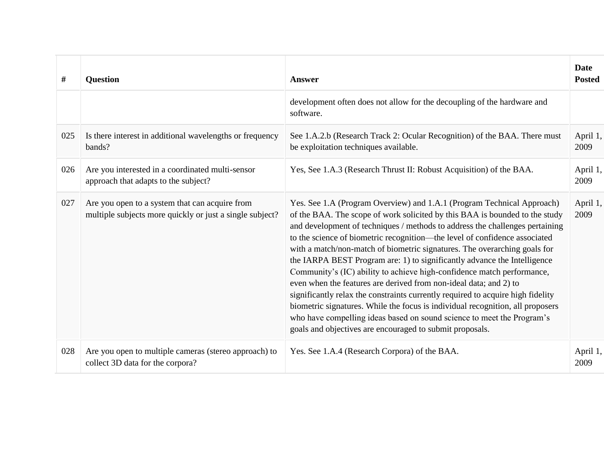| #   | <b>Question</b>                                                                                            | Answer                                                                                                                                                                                                                                                                                                                                                                                                                                                                                                                                                                                                                                                                                                                                                                                                                                                                                                                                 | <b>Date</b><br><b>Posted</b> |
|-----|------------------------------------------------------------------------------------------------------------|----------------------------------------------------------------------------------------------------------------------------------------------------------------------------------------------------------------------------------------------------------------------------------------------------------------------------------------------------------------------------------------------------------------------------------------------------------------------------------------------------------------------------------------------------------------------------------------------------------------------------------------------------------------------------------------------------------------------------------------------------------------------------------------------------------------------------------------------------------------------------------------------------------------------------------------|------------------------------|
|     |                                                                                                            | development often does not allow for the decoupling of the hardware and<br>software.                                                                                                                                                                                                                                                                                                                                                                                                                                                                                                                                                                                                                                                                                                                                                                                                                                                   |                              |
| 025 | Is there interest in additional wavelengths or frequency<br>bands?                                         | See 1.A.2.b (Research Track 2: Ocular Recognition) of the BAA. There must<br>be exploitation techniques available.                                                                                                                                                                                                                                                                                                                                                                                                                                                                                                                                                                                                                                                                                                                                                                                                                     | April 1,<br>2009             |
| 026 | Are you interested in a coordinated multi-sensor<br>approach that adapts to the subject?                   | Yes, See 1.A.3 (Research Thrust II: Robust Acquisition) of the BAA.                                                                                                                                                                                                                                                                                                                                                                                                                                                                                                                                                                                                                                                                                                                                                                                                                                                                    | April 1,<br>2009             |
| 027 | Are you open to a system that can acquire from<br>multiple subjects more quickly or just a single subject? | Yes. See 1.A (Program Overview) and 1.A.1 (Program Technical Approach)<br>of the BAA. The scope of work solicited by this BAA is bounded to the study<br>and development of techniques / methods to address the challenges pertaining<br>to the science of biometric recognition—the level of confidence associated<br>with a match/non-match of biometric signatures. The overarching goals for<br>the IARPA BEST Program are: 1) to significantly advance the Intelligence<br>Community's (IC) ability to achieve high-confidence match performance,<br>even when the features are derived from non-ideal data; and 2) to<br>significantly relax the constraints currently required to acquire high fidelity<br>biometric signatures. While the focus is individual recognition, all proposers<br>who have compelling ideas based on sound science to meet the Program's<br>goals and objectives are encouraged to submit proposals. | April 1,<br>2009             |
| 028 | Are you open to multiple cameras (stereo approach) to<br>collect 3D data for the corpora?                  | Yes. See 1.A.4 (Research Corpora) of the BAA.                                                                                                                                                                                                                                                                                                                                                                                                                                                                                                                                                                                                                                                                                                                                                                                                                                                                                          | April 1,<br>2009             |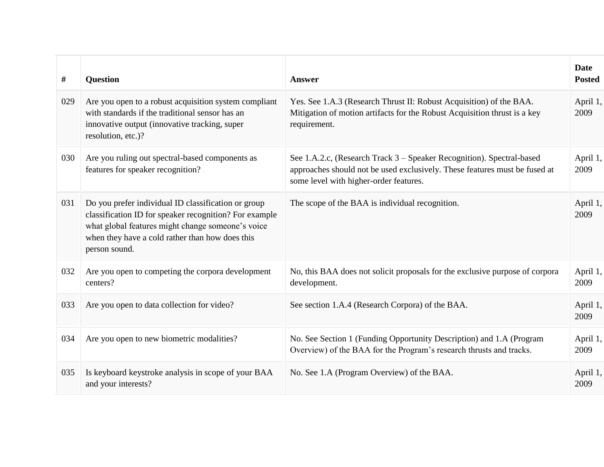| #   | <b>Question</b>                                                                                                                                                                                                                        | <b>Answer</b>                                                                                                                                                                                 | <b>Date</b><br><b>Posted</b> |
|-----|----------------------------------------------------------------------------------------------------------------------------------------------------------------------------------------------------------------------------------------|-----------------------------------------------------------------------------------------------------------------------------------------------------------------------------------------------|------------------------------|
| 029 | Are you open to a robust acquisition system compliant<br>with standards if the traditional sensor has an<br>innovative output (innovative tracking, super<br>resolution, etc.)?                                                        | Yes. See 1.A.3 (Research Thrust II: Robust Acquisition) of the BAA.<br>Mitigation of motion artifacts for the Robust Acquisition thrust is a key<br>requirement.                              | April 1,<br>2009             |
| 030 | Are you ruling out spectral-based components as<br>features for speaker recognition?                                                                                                                                                   | See 1.A.2.c, (Research Track 3 – Speaker Recognition). Spectral-based<br>approaches should not be used exclusively. These features must be fused at<br>some level with higher-order features. | April 1,<br>2009             |
| 031 | Do you prefer individual ID classification or group<br>classification ID for speaker recognition? For example<br>what global features might change someone's voice<br>when they have a cold rather than how does this<br>person sound. | The scope of the BAA is individual recognition.                                                                                                                                               | April 1,<br>2009             |
| 032 | Are you open to competing the corpora development<br>centers?                                                                                                                                                                          | No, this BAA does not solicit proposals for the exclusive purpose of corpora<br>development.                                                                                                  | April 1,<br>2009             |
| 033 | Are you open to data collection for video?                                                                                                                                                                                             | See section 1.A.4 (Research Corpora) of the BAA.                                                                                                                                              | April 1,<br>2009             |
| 034 | Are you open to new biometric modalities?                                                                                                                                                                                              | No. See Section 1 (Funding Opportunity Description) and 1.A (Program<br>Overview) of the BAA for the Program's research thrusts and tracks.                                                   | April 1,<br>2009             |
| 035 | Is keyboard keystroke analysis in scope of your BAA<br>and your interests?                                                                                                                                                             | No. See 1.A (Program Overview) of the BAA.                                                                                                                                                    | April 1,<br>2009             |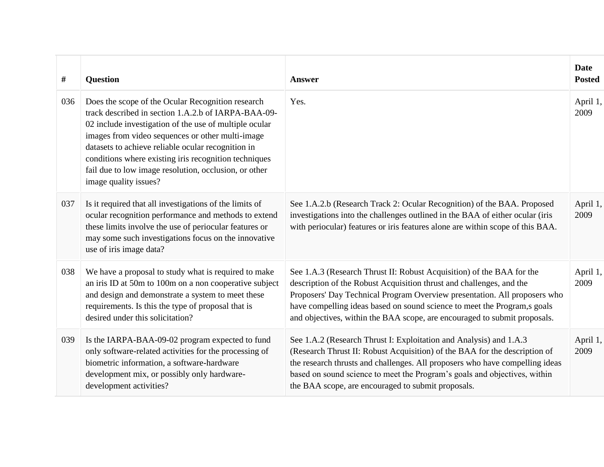| #   | Question                                                                                                                                                                                                                                                                                                                                                                                                                | <b>Answer</b>                                                                                                                                                                                                                                                                                                                                                                       | <b>Date</b><br><b>Posted</b> |
|-----|-------------------------------------------------------------------------------------------------------------------------------------------------------------------------------------------------------------------------------------------------------------------------------------------------------------------------------------------------------------------------------------------------------------------------|-------------------------------------------------------------------------------------------------------------------------------------------------------------------------------------------------------------------------------------------------------------------------------------------------------------------------------------------------------------------------------------|------------------------------|
| 036 | Does the scope of the Ocular Recognition research<br>track described in section 1.A.2.b of IARPA-BAA-09-<br>02 include investigation of the use of multiple ocular<br>images from video sequences or other multi-image<br>datasets to achieve reliable ocular recognition in<br>conditions where existing iris recognition techniques<br>fail due to low image resolution, occlusion, or other<br>image quality issues? | Yes.                                                                                                                                                                                                                                                                                                                                                                                | April 1,<br>2009             |
| 037 | Is it required that all investigations of the limits of<br>ocular recognition performance and methods to extend<br>these limits involve the use of periocular features or<br>may some such investigations focus on the innovative<br>use of iris image data?                                                                                                                                                            | See 1.A.2.b (Research Track 2: Ocular Recognition) of the BAA. Proposed<br>investigations into the challenges outlined in the BAA of either ocular (iris<br>with periocular) features or iris features alone are within scope of this BAA.                                                                                                                                          | April 1,<br>2009             |
| 038 | We have a proposal to study what is required to make<br>an iris ID at 50m to 100m on a non cooperative subject<br>and design and demonstrate a system to meet these<br>requirements. Is this the type of proposal that is<br>desired under this solicitation?                                                                                                                                                           | See 1.A.3 (Research Thrust II: Robust Acquisition) of the BAA for the<br>description of the Robust Acquisition thrust and challenges, and the<br>Proposers' Day Technical Program Overview presentation. All proposers who<br>have compelling ideas based on sound science to meet the Program,s goals<br>and objectives, within the BAA scope, are encouraged to submit proposals. | April 1,<br>2009             |
| 039 | Is the IARPA-BAA-09-02 program expected to fund<br>only software-related activities for the processing of<br>biometric information, a software-hardware<br>development mix, or possibly only hardware-<br>development activities?                                                                                                                                                                                       | See 1.A.2 (Research Thrust I: Exploitation and Analysis) and 1.A.3<br>(Research Thrust II: Robust Acquisition) of the BAA for the description of<br>the research thrusts and challenges. All proposers who have compelling ideas<br>based on sound science to meet the Program's goals and objectives, within<br>the BAA scope, are encouraged to submit proposals.                 | April 1,<br>2009             |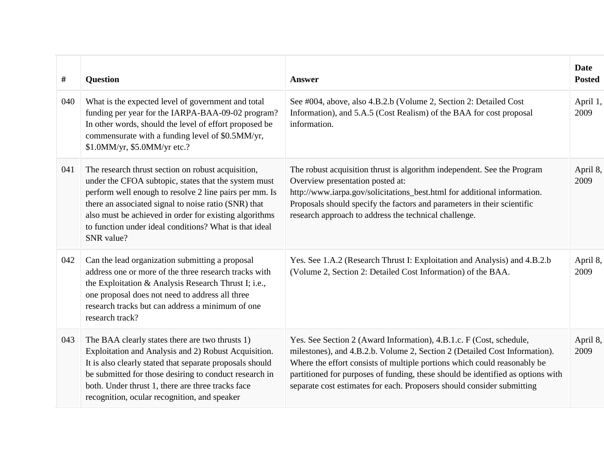| $\#$ | <b>Question</b>                                                                                                                                                                                                                                                                                                                                                | Answer                                                                                                                                                                                                                                                                                                                                                                                     | <b>Date</b><br><b>Posted</b> |
|------|----------------------------------------------------------------------------------------------------------------------------------------------------------------------------------------------------------------------------------------------------------------------------------------------------------------------------------------------------------------|--------------------------------------------------------------------------------------------------------------------------------------------------------------------------------------------------------------------------------------------------------------------------------------------------------------------------------------------------------------------------------------------|------------------------------|
| 040  | What is the expected level of government and total<br>funding per year for the IARPA-BAA-09-02 program?<br>In other words, should the level of effort proposed be<br>commensurate with a funding level of \$0.5MM/yr,<br>\$1.0MM/yr, \$5.0MM/yr etc.?                                                                                                          | See #004, above, also 4.B.2.b (Volume 2, Section 2: Detailed Cost<br>Information), and 5.A.5 (Cost Realism) of the BAA for cost proposal<br>information.                                                                                                                                                                                                                                   | April 1,<br>2009             |
| 041  | The research thrust section on robust acquisition,<br>under the CFOA subtopic, states that the system must<br>perform well enough to resolve 2 line pairs per mm. Is<br>there an associated signal to noise ratio (SNR) that<br>also must be achieved in order for existing algorithms<br>to function under ideal conditions? What is that ideal<br>SNR value? | The robust acquisition thrust is algorithm independent. See the Program<br>Overview presentation posted at:<br>http://www.iarpa.gov/solicitations_best.html for additional information.<br>Proposals should specify the factors and parameters in their scientific<br>research approach to address the technical challenge.                                                                | April 8,<br>2009             |
| 042  | Can the lead organization submitting a proposal<br>address one or more of the three research tracks with<br>the Exploitation & Analysis Research Thrust I; i.e.,<br>one proposal does not need to address all three<br>research tracks but can address a minimum of one<br>research track?                                                                     | Yes. See 1.A.2 (Research Thrust I: Exploitation and Analysis) and 4.B.2.b<br>(Volume 2, Section 2: Detailed Cost Information) of the BAA.                                                                                                                                                                                                                                                  | April 8,<br>2009             |
| 043  | The BAA clearly states there are two thrusts 1)<br>Exploitation and Analysis and 2) Robust Acquisition.<br>It is also clearly stated that separate proposals should<br>be submitted for those desiring to conduct research in<br>both. Under thrust 1, there are three tracks face<br>recognition, ocular recognition, and speaker                             | Yes. See Section 2 (Award Information), 4.B.1.c. F (Cost, schedule,<br>milestones), and 4.B.2.b. Volume 2, Section 2 (Detailed Cost Information).<br>Where the effort consists of multiple portions which could reasonably be<br>partitioned for purposes of funding, these should be identified as options with<br>separate cost estimates for each. Proposers should consider submitting | April 8,<br>2009             |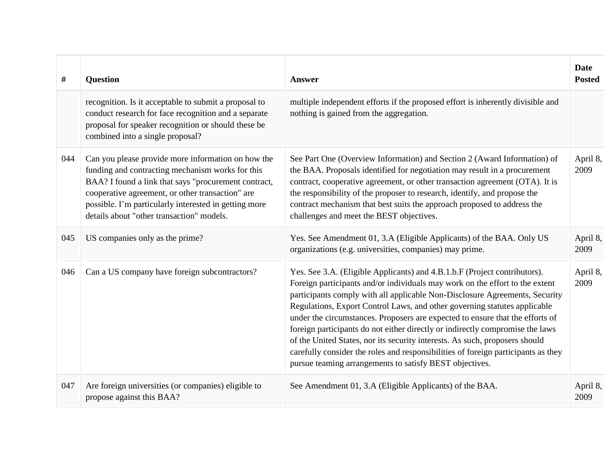| #   | <b>Question</b>                                                                                                                                                                                                                                                                                                          | <b>Answer</b>                                                                                                                                                                                                                                                                                                                                                                                                                                                                                                                                                                                                                                                                                                          | <b>Date</b><br><b>Posted</b> |
|-----|--------------------------------------------------------------------------------------------------------------------------------------------------------------------------------------------------------------------------------------------------------------------------------------------------------------------------|------------------------------------------------------------------------------------------------------------------------------------------------------------------------------------------------------------------------------------------------------------------------------------------------------------------------------------------------------------------------------------------------------------------------------------------------------------------------------------------------------------------------------------------------------------------------------------------------------------------------------------------------------------------------------------------------------------------------|------------------------------|
|     | recognition. Is it acceptable to submit a proposal to<br>conduct research for face recognition and a separate<br>proposal for speaker recognition or should these be<br>combined into a single proposal?                                                                                                                 | multiple independent efforts if the proposed effort is inherently divisible and<br>nothing is gained from the aggregation.                                                                                                                                                                                                                                                                                                                                                                                                                                                                                                                                                                                             |                              |
| 044 | Can you please provide more information on how the<br>funding and contracting mechanism works for this<br>BAA? I found a link that says "procurement contract,<br>cooperative agreement, or other transaction" are<br>possible. I'm particularly interested in getting more<br>details about "other transaction" models. | See Part One (Overview Information) and Section 2 (Award Information) of<br>the BAA. Proposals identified for negotiation may result in a procurement<br>contract, cooperative agreement, or other transaction agreement (OTA). It is<br>the responsibility of the proposer to research, identify, and propose the<br>contract mechanism that best suits the approach proposed to address the<br>challenges and meet the BEST objectives.                                                                                                                                                                                                                                                                              | April 8,<br>2009             |
| 045 | US companies only as the prime?                                                                                                                                                                                                                                                                                          | Yes. See Amendment 01, 3.A (Eligible Applicants) of the BAA. Only US<br>organizations (e.g. universities, companies) may prime.                                                                                                                                                                                                                                                                                                                                                                                                                                                                                                                                                                                        | April 8,<br>2009             |
| 046 | Can a US company have foreign subcontractors?                                                                                                                                                                                                                                                                            | Yes. See 3.A. (Eligible Applicants) and 4.B.1.b.F (Project contributors).<br>Foreign participants and/or individuals may work on the effort to the extent<br>participants comply with all applicable Non-Disclosure Agreements, Security<br>Regulations, Export Control Laws, and other governing statutes applicable<br>under the circumstances. Proposers are expected to ensure that the efforts of<br>foreign participants do not either directly or indirectly compromise the laws<br>of the United States, nor its security interests. As such, proposers should<br>carefully consider the roles and responsibilities of foreign participants as they<br>pursue teaming arrangements to satisfy BEST objectives. | April 8,<br>2009             |
| 047 | Are foreign universities (or companies) eligible to<br>propose against this BAA?                                                                                                                                                                                                                                         | See Amendment 01, 3.A (Eligible Applicants) of the BAA.                                                                                                                                                                                                                                                                                                                                                                                                                                                                                                                                                                                                                                                                | April 8,<br>2009             |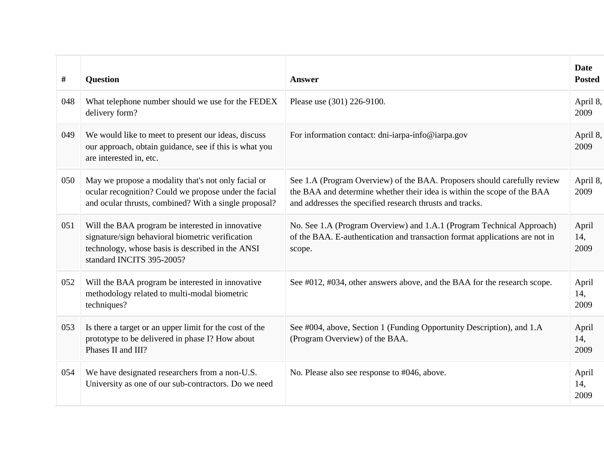| #   | <b>Question</b>                                                                                                                                                                       | <b>Answer</b>                                                                                                                                                                                                   | <b>Date</b><br><b>Posted</b> |
|-----|---------------------------------------------------------------------------------------------------------------------------------------------------------------------------------------|-----------------------------------------------------------------------------------------------------------------------------------------------------------------------------------------------------------------|------------------------------|
| 048 | What telephone number should we use for the FEDEX<br>delivery form?                                                                                                                   | Please use (301) 226-9100.                                                                                                                                                                                      | April 8,<br>2009             |
| 049 | We would like to meet to present our ideas, discuss<br>our approach, obtain guidance, see if this is what you<br>are interested in, etc.                                              | For information contact: dni-iarpa-info@iarpa.gov                                                                                                                                                               | April 8,<br>2009             |
| 050 | May we propose a modality that's not only facial or<br>ocular recognition? Could we propose under the facial<br>and ocular thrusts, combined? With a single proposal?                 | See 1.A (Program Overview) of the BAA. Proposers should carefully review<br>the BAA and determine whether their idea is within the scope of the BAA<br>and addresses the specified research thrusts and tracks. | April 8,<br>2009             |
| 051 | Will the BAA program be interested in innovative<br>signature/sign behavioral biometric verification<br>technology, whose basis is described in the ANSI<br>standard INCITS 395-2005? | No. See 1.A (Program Overview) and 1.A.1 (Program Technical Approach)<br>of the BAA. E-authentication and transaction format applications are not in<br>scope.                                                  | April<br>14,<br>2009         |
| 052 | Will the BAA program be interested in innovative<br>methodology related to multi-modal biometric<br>techniques?                                                                       | See #012, #034, other answers above, and the BAA for the research scope.                                                                                                                                        | April<br>14,<br>2009         |
| 053 | Is there a target or an upper limit for the cost of the<br>prototype to be delivered in phase I? How about<br>Phases II and III?                                                      | See #004, above, Section 1 (Funding Opportunity Description), and 1.A<br>(Program Overview) of the BAA.                                                                                                         | April<br>14,<br>2009         |
| 054 | We have designated researchers from a non-U.S.<br>University as one of our sub-contractors. Do we need                                                                                | No. Please also see response to #046, above.                                                                                                                                                                    | April<br>14,<br>2009         |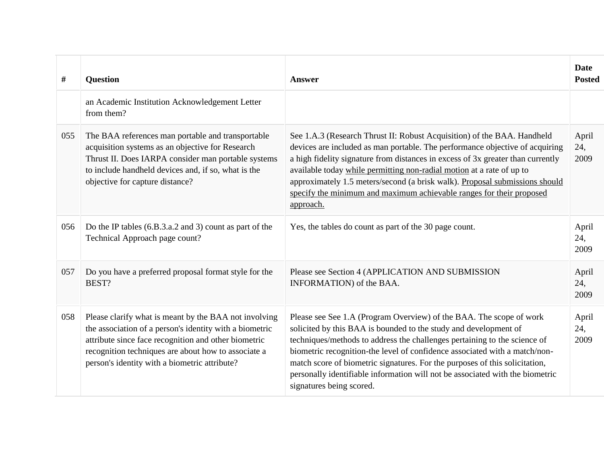| #   | <b>Question</b>                                                                                                                                                                                                                                                                  | <b>Answer</b>                                                                                                                                                                                                                                                                                                                                                                                                                                                                                  | <b>Date</b><br><b>Posted</b> |
|-----|----------------------------------------------------------------------------------------------------------------------------------------------------------------------------------------------------------------------------------------------------------------------------------|------------------------------------------------------------------------------------------------------------------------------------------------------------------------------------------------------------------------------------------------------------------------------------------------------------------------------------------------------------------------------------------------------------------------------------------------------------------------------------------------|------------------------------|
|     | an Academic Institution Acknowledgement Letter<br>from them?                                                                                                                                                                                                                     |                                                                                                                                                                                                                                                                                                                                                                                                                                                                                                |                              |
| 055 | The BAA references man portable and transportable<br>acquisition systems as an objective for Research<br>Thrust II. Does IARPA consider man portable systems<br>to include handheld devices and, if so, what is the<br>objective for capture distance?                           | See 1.A.3 (Research Thrust II: Robust Acquisition) of the BAA. Handheld<br>devices are included as man portable. The performance objective of acquiring<br>a high fidelity signature from distances in excess of 3x greater than currently<br>available today while permitting non-radial motion at a rate of up to<br>approximately 1.5 meters/second (a brisk walk). Proposal submissions should<br>specify the minimum and maximum achievable ranges for their proposed<br>approach.        | April<br>24,<br>2009         |
| 056 | Do the IP tables (6.B.3.a.2 and 3) count as part of the<br>Technical Approach page count?                                                                                                                                                                                        | Yes, the tables do count as part of the 30 page count.                                                                                                                                                                                                                                                                                                                                                                                                                                         | April<br>24,<br>2009         |
| 057 | Do you have a preferred proposal format style for the<br>BEST?                                                                                                                                                                                                                   | Please see Section 4 (APPLICATION AND SUBMISSION<br>INFORMATION) of the BAA.                                                                                                                                                                                                                                                                                                                                                                                                                   | April<br>24,<br>2009         |
| 058 | Please clarify what is meant by the BAA not involving<br>the association of a person's identity with a biometric<br>attribute since face recognition and other biometric<br>recognition techniques are about how to associate a<br>person's identity with a biometric attribute? | Please see See 1.A (Program Overview) of the BAA. The scope of work<br>solicited by this BAA is bounded to the study and development of<br>techniques/methods to address the challenges pertaining to the science of<br>biometric recognition-the level of confidence associated with a match/non-<br>match score of biometric signatures. For the purposes of this solicitation,<br>personally identifiable information will not be associated with the biometric<br>signatures being scored. | April<br>24,<br>2009         |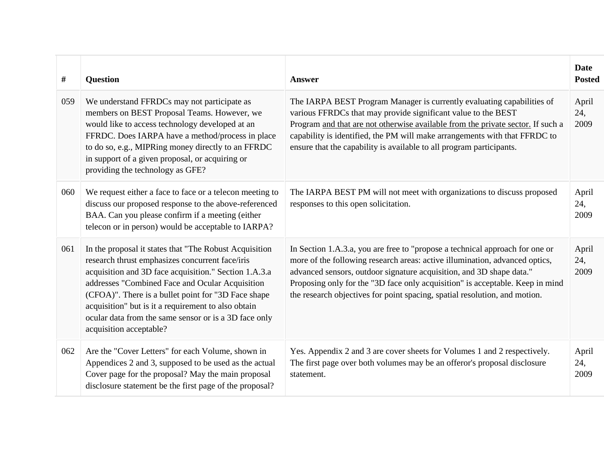| #   | <b>Question</b>                                                                                                                                                                                                                                                                                                                                                                                                          | <b>Answer</b>                                                                                                                                                                                                                                                                                                                                                                                      | <b>Date</b><br><b>Posted</b> |
|-----|--------------------------------------------------------------------------------------------------------------------------------------------------------------------------------------------------------------------------------------------------------------------------------------------------------------------------------------------------------------------------------------------------------------------------|----------------------------------------------------------------------------------------------------------------------------------------------------------------------------------------------------------------------------------------------------------------------------------------------------------------------------------------------------------------------------------------------------|------------------------------|
| 059 | We understand FFRDCs may not participate as<br>members on BEST Proposal Teams. However, we<br>would like to access technology developed at an<br>FFRDC. Does IARPA have a method/process in place<br>to do so, e.g., MIPRing money directly to an FFRDC<br>in support of a given proposal, or acquiring or<br>providing the technology as GFE?                                                                           | The IARPA BEST Program Manager is currently evaluating capabilities of<br>various FFRDCs that may provide significant value to the BEST<br>Program and that are not otherwise available from the private sector. If such a<br>capability is identified, the PM will make arrangements with that FFRDC to<br>ensure that the capability is available to all program participants.                   | April<br>24,<br>2009         |
| 060 | We request either a face to face or a telecon meeting to<br>discuss our proposed response to the above-referenced<br>BAA. Can you please confirm if a meeting (either<br>telecon or in person) would be acceptable to IARPA?                                                                                                                                                                                             | The IARPA BEST PM will not meet with organizations to discuss proposed<br>responses to this open solicitation.                                                                                                                                                                                                                                                                                     | April<br>24,<br>2009         |
| 061 | In the proposal it states that "The Robust Acquisition"<br>research thrust emphasizes concurrent face/iris<br>acquisition and 3D face acquisition." Section 1.A.3.a<br>addresses "Combined Face and Ocular Acquisition<br>(CFOA)". There is a bullet point for "3D Face shape<br>acquisition" but is it a requirement to also obtain<br>ocular data from the same sensor or is a 3D face only<br>acquisition acceptable? | In Section 1.A.3.a, you are free to "propose a technical approach for one or<br>more of the following research areas: active illumination, advanced optics,<br>advanced sensors, outdoor signature acquisition, and 3D shape data."<br>Proposing only for the "3D face only acquisition" is acceptable. Keep in mind<br>the research objectives for point spacing, spatial resolution, and motion. | April<br>24,<br>2009         |
| 062 | Are the "Cover Letters" for each Volume, shown in<br>Appendices 2 and 3, supposed to be used as the actual<br>Cover page for the proposal? May the main proposal<br>disclosure statement be the first page of the proposal?                                                                                                                                                                                              | Yes. Appendix 2 and 3 are cover sheets for Volumes 1 and 2 respectively.<br>The first page over both volumes may be an offeror's proposal disclosure<br>statement.                                                                                                                                                                                                                                 | April<br>24,<br>2009         |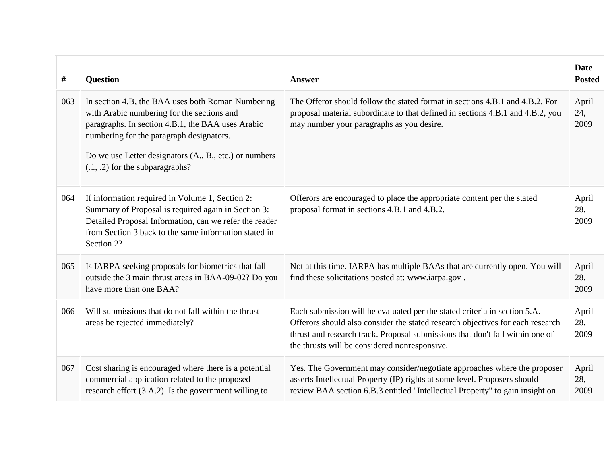| #   | <b>Question</b>                                                                                                                                                                                                                                                                                   | <b>Answer</b>                                                                                                                                                                                                                                                                                 | <b>Date</b><br><b>Posted</b> |
|-----|---------------------------------------------------------------------------------------------------------------------------------------------------------------------------------------------------------------------------------------------------------------------------------------------------|-----------------------------------------------------------------------------------------------------------------------------------------------------------------------------------------------------------------------------------------------------------------------------------------------|------------------------------|
| 063 | In section 4.B, the BAA uses both Roman Numbering<br>with Arabic numbering for the sections and<br>paragraphs. In section 4.B.1, the BAA uses Arabic<br>numbering for the paragraph designators.<br>Do we use Letter designators (A., B., etc.) or numbers<br>$(0.1, 0.2)$ for the subparagraphs? | The Offeror should follow the stated format in sections 4.B.1 and 4.B.2. For<br>proposal material subordinate to that defined in sections 4.B.1 and 4.B.2, you<br>may number your paragraphs as you desire.                                                                                   | April<br>24,<br>2009         |
| 064 | If information required in Volume 1, Section 2:<br>Summary of Proposal is required again in Section 3:<br>Detailed Proposal Information, can we refer the reader<br>from Section 3 back to the same information stated in<br>Section 2?                                                           | Offerors are encouraged to place the appropriate content per the stated<br>proposal format in sections 4.B.1 and 4.B.2.                                                                                                                                                                       | April<br>28,<br>2009         |
| 065 | Is IARPA seeking proposals for biometrics that fall<br>outside the 3 main thrust areas in BAA-09-02? Do you<br>have more than one BAA?                                                                                                                                                            | Not at this time. IARPA has multiple BAAs that are currently open. You will<br>find these solicitations posted at: www.iarpa.gov.                                                                                                                                                             | April<br>28,<br>2009         |
| 066 | Will submissions that do not fall within the thrust<br>areas be rejected immediately?                                                                                                                                                                                                             | Each submission will be evaluated per the stated criteria in section 5.A.<br>Offerors should also consider the stated research objectives for each research<br>thrust and research track. Proposal submissions that don't fall within one of<br>the thrusts will be considered nonresponsive. | April<br>28,<br>2009         |
| 067 | Cost sharing is encouraged where there is a potential<br>commercial application related to the proposed<br>research effort (3.A.2). Is the government willing to                                                                                                                                  | Yes. The Government may consider/negotiate approaches where the proposer<br>asserts Intellectual Property (IP) rights at some level. Proposers should<br>review BAA section 6.B.3 entitled "Intellectual Property" to gain insight on                                                         | April<br>28,<br>2009         |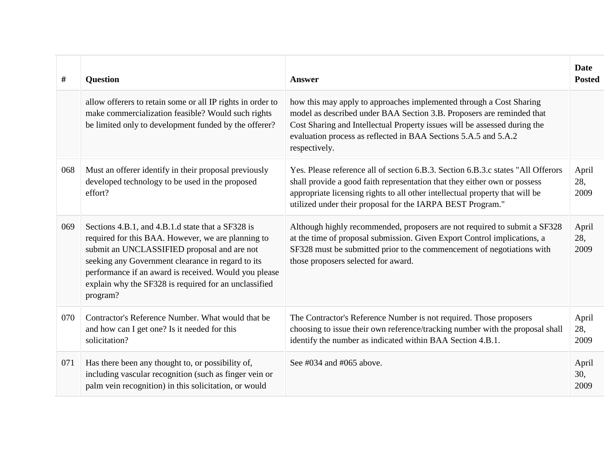| #   | <b>Question</b>                                                                                                                                                                                                                                                                                                                           | <b>Answer</b>                                                                                                                                                                                                                                                                                                 | Date<br><b>Posted</b> |
|-----|-------------------------------------------------------------------------------------------------------------------------------------------------------------------------------------------------------------------------------------------------------------------------------------------------------------------------------------------|---------------------------------------------------------------------------------------------------------------------------------------------------------------------------------------------------------------------------------------------------------------------------------------------------------------|-----------------------|
|     | allow offerers to retain some or all IP rights in order to<br>make commercialization feasible? Would such rights<br>be limited only to development funded by the offerer?                                                                                                                                                                 | how this may apply to approaches implemented through a Cost Sharing<br>model as described under BAA Section 3.B. Proposers are reminded that<br>Cost Sharing and Intellectual Property issues will be assessed during the<br>evaluation process as reflected in BAA Sections 5.A.5 and 5.A.2<br>respectively. |                       |
| 068 | Must an offerer identify in their proposal previously<br>developed technology to be used in the proposed<br>effort?                                                                                                                                                                                                                       | Yes. Please reference all of section 6.B.3. Section 6.B.3.c states "All Offerors"<br>shall provide a good faith representation that they either own or possess<br>appropriate licensing rights to all other intellectual property that will be<br>utilized under their proposal for the IARPA BEST Program."  | April<br>28,<br>2009  |
| 069 | Sections 4.B.1, and 4.B.1.d state that a SF328 is<br>required for this BAA. However, we are planning to<br>submit an UNCLASSIFIED proposal and are not<br>seeking any Government clearance in regard to its<br>performance if an award is received. Would you please<br>explain why the SF328 is required for an unclassified<br>program? | Although highly recommended, proposers are not required to submit a SF328<br>at the time of proposal submission. Given Export Control implications, a<br>SF328 must be submitted prior to the commencement of negotiations with<br>those proposers selected for award.                                        | April<br>28,<br>2009  |
| 070 | Contractor's Reference Number. What would that be<br>and how can I get one? Is it needed for this<br>solicitation?                                                                                                                                                                                                                        | The Contractor's Reference Number is not required. Those proposers<br>choosing to issue their own reference/tracking number with the proposal shall<br>identify the number as indicated within BAA Section 4.B.1.                                                                                             | April<br>28,<br>2009  |
| 071 | Has there been any thought to, or possibility of,<br>including vascular recognition (such as finger vein or<br>palm vein recognition) in this solicitation, or would                                                                                                                                                                      | See $\#034$ and $\#065$ above.                                                                                                                                                                                                                                                                                | April<br>30,<br>2009  |